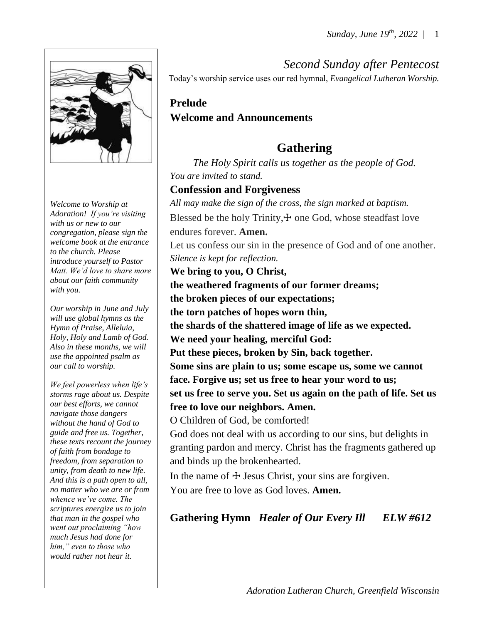

*Welcome to Worship at Adoration! If you're visiting with us or new to our congregation, please sign the welcome book at the entrance to the church. Please introduce yourself to Pastor Matt. We'd love to share more about our faith community with you.*

*Our worship in June and July will use global hymns as the Hymn of Praise, Alleluia, Holy, Holy and Lamb of God. Also in these months, we will use the appointed psalm as our call to worship.*

*We feel powerless when life's storms rage about us. Despite our best efforts, we cannot navigate those dangers without the hand of God to guide and free us. Together, these texts recount the journey of faith from bondage to freedom, from separation to unity, from death to new life. And this is a path open to all, no matter who we are or from whence we've come. The scriptures energize us to join that man in the gospel who went out proclaiming "how much Jesus had done for him," even to those who would rather not hear it.*

# *Second Sunday after Pentecost*

Today's worship service uses our red hymnal, *Evangelical Lutheran Worship.*

#### **Prelude Welcome and Announcements**

# **Gathering**

*The Holy Spirit calls us together as the people of God. You are invited to stand.* 

#### **Confession and Forgiveness**

*All may make the sign of the cross, the sign marked at baptism.* Blessed be the holy Trinity, $+$  one God, whose steadfast love endures forever. **Amen.** Let us confess our sin in the presence of God and of one another. *Silence is kept for reflection.* **We bring to you, O Christ, the weathered fragments of our former dreams; the broken pieces of our expectations; the torn patches of hopes worn thin, the shards of the shattered image of life as we expected. We need your healing, merciful God: Put these pieces, broken by Sin, back together. Some sins are plain to us; some escape us, some we cannot face. Forgive us; set us free to hear your word to us; set us free to serve you. Set us again on the path of life. Set us free to love our neighbors. Amen.**  O Children of God, be comforted! God does not deal with us according to our sins, but delights in granting pardon and mercy. Christ has the fragments gathered up and binds up the brokenhearted.

In the name of  $\pm$  Jesus Christ, your sins are forgiven. You are free to love as God loves. **Amen.**

#### **Gathering Hymn** *Healer of Our Every Ill ELW #612*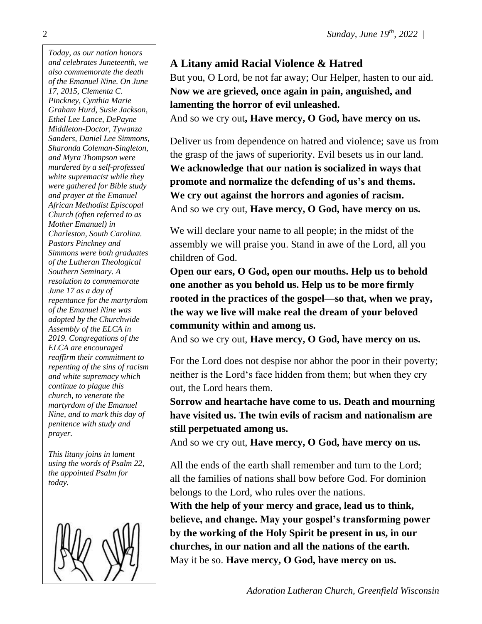*Today, as our nation honors and celebrates Juneteenth, we also commemorate the death of the Emanuel Nine. On June 17, 2015, Clementa C. Pinckney, Cynthia Marie Graham Hurd, Susie Jackson, Ethel Lee Lance, DePayne Middleton-Doctor, Tywanza Sanders, Daniel Lee Simmons, Sharonda Coleman-Singleton, and Myra Thompson were murdered by a self-professed white supremacist while they were gathered for Bible study and prayer at the Emanuel African Methodist Episcopal Church (often referred to as Mother Emanuel) in Charleston, South Carolina. Pastors Pinckney and Simmons were both graduates of the Lutheran Theological Southern Seminary. A resolution to commemorate June 17 as a day of repentance for the martyrdom of the Emanuel Nine was adopted by the Churchwide Assembly of the ELCA in 2019. Congregations of the ELCA are encouraged reaffirm their commitment to repenting of the sins of racism and white supremacy which continue to plague this church, to venerate the martyrdom of the Emanuel Nine, and to mark this day of penitence with study and prayer.*

*This litany joins in lament using the words of Psalm 22, the appointed Psalm for today.*



#### **A Litany amid Racial Violence & Hatred**

But you, O Lord, be not far away; Our Helper, hasten to our aid. **Now we are grieved, once again in pain, anguished, and lamenting the horror of evil unleashed.**  And so we cry out**, Have mercy, O God, have mercy on us.** 

Deliver us from dependence on hatred and violence; save us from the grasp of the jaws of superiority. Evil besets us in our land. **We acknowledge that our nation is socialized in ways that promote and normalize the defending of us's and thems. We cry out against the horrors and agonies of racism.**  And so we cry out, **Have mercy, O God, have mercy on us.** 

We will declare your name to all people; in the midst of the assembly we will praise you. Stand in awe of the Lord, all you children of God.

**Open our ears, O God, open our mouths. Help us to behold one another as you behold us. Help us to be more firmly rooted in the practices of the gospel—so that, when we pray, the way we live will make real the dream of your beloved community within and among us.** 

And so we cry out, **Have mercy, O God, have mercy on us.** 

For the Lord does not despise nor abhor the poor in their poverty; neither is the Lord's face hidden from them; but when they cry out, the Lord hears them.

**Sorrow and heartache have come to us. Death and mourning have visited us. The twin evils of racism and nationalism are still perpetuated among us.**

And so we cry out, **Have mercy, O God, have mercy on us.** 

All the ends of the earth shall remember and turn to the Lord; all the families of nations shall bow before God. For dominion belongs to the Lord, who rules over the nations.

**With the help of your mercy and grace, lead us to think, believe, and change. May your gospel's transforming power by the working of the Holy Spirit be present in us, in our churches, in our nation and all the nations of the earth.** May it be so. **Have mercy, O God, have mercy on us.** 

2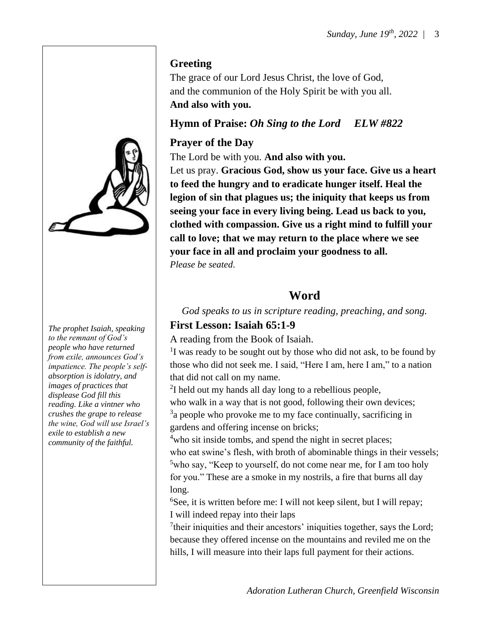

*The prophet Isaiah, speaking to the remnant of God's people who have returned from exile, announces God's impatience. The people's selfabsorption is idolatry, and images of practices that displease God fill this reading. Like a vintner who crushes the grape to release the wine, God will use Israel's exile to establish a new community of the faithful.*

#### **Greeting**

The grace of our Lord Jesus Christ, the love of God, and the communion of the Holy Spirit be with you all. **And also with you.**

#### **Hymn of Praise:** *Oh Sing to the Lord ELW #822*

#### **Prayer of the Day**

The Lord be with you. **And also with you.**

Let us pray. **Gracious God, show us your face. Give us a heart to feed the hungry and to eradicate hunger itself. Heal the legion of sin that plagues us; the iniquity that keeps us from seeing your face in every living being. Lead us back to you, clothed with compassion. Give us a right mind to fulfill your call to love; that we may return to the place where we see your face in all and proclaim your goodness to all.** *Please be seated*.

#### **Word**

*God speaks to us in scripture reading, preaching, and song.*

#### **First Lesson: Isaiah 65:1-9**

A reading from the Book of Isaiah.

<sup>1</sup>I was ready to be sought out by those who did not ask, to be found by those who did not seek me. I said, "Here I am, here I am," to a nation that did not call on my name.

 $2I$  held out my hands all day long to a rebellious people,

who walk in a way that is not good, following their own devices; <sup>3</sup>a people who provoke me to my face continually, sacrificing in gardens and offering incense on bricks;

<sup>4</sup>who sit inside tombs, and spend the night in secret places; who eat swine's flesh, with broth of abominable things in their vessels; <sup>5</sup>who say, "Keep to yourself, do not come near me, for I am too holy for you." These are a smoke in my nostrils, a fire that burns all day long.

 ${}^{6}$ See, it is written before me: I will not keep silent, but I will repay; I will indeed repay into their laps

 $7$ their iniquities and their ancestors' iniquities together, says the Lord; because they offered incense on the mountains and reviled me on the hills, I will measure into their laps full payment for their actions.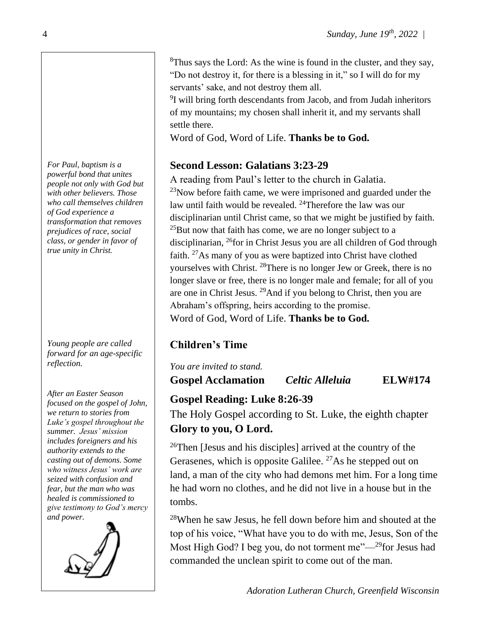${}^{8}$ Thus says the Lord: As the wine is found in the cluster, and they say, "Do not destroy it, for there is a blessing in it," so I will do for my servants' sake, and not destroy them all.

<sup>9</sup>I will bring forth descendants from Jacob, and from Judah inheritors of my mountains; my chosen shall inherit it, and my servants shall settle there.

Word of God, Word of Life. **Thanks be to God.**

#### **Second Lesson: Galatians 3:23-29**

A reading from Paul's letter to the church in Galatia.  $^{23}$ Now before faith came, we were imprisoned and guarded under the law until faith would be revealed. <sup>24</sup>Therefore the law was our disciplinarian until Christ came, so that we might be justified by faith.  $^{25}$ But now that faith has come, we are no longer subject to a disciplinarian, <sup>26</sup>for in Christ Jesus you are all children of God through faith.  $27\text{As}$  many of you as were baptized into Christ have clothed yourselves with Christ. <sup>28</sup>There is no longer Jew or Greek, there is no longer slave or free, there is no longer male and female; for all of you are one in Christ Jesus. <sup>29</sup>And if you belong to Christ, then you are Abraham's offspring, heirs according to the promise. Word of God, Word of Life. **Thanks be to God.**

# **Children's Time**

*You are invited to stand.* **Gospel Acclamation** *Celtic Alleluia* **ELW#174**

# **Gospel Reading: Luke 8:26-39**

The Holy Gospel according to St. Luke, the eighth chapter **Glory to you, O Lord.**

<sup>26</sup>Then [Jesus and his disciples] arrived at the country of the Gerasenes, which is opposite Galilee.  $^{27}$ As he stepped out on land, a man of the city who had demons met him. For a long time he had worn no clothes, and he did not live in a house but in the tombs.

<sup>28</sup>When he saw Jesus, he fell down before him and shouted at the top of his voice, "What have you to do with me, Jesus, Son of the Most High God? I beg you, do not torment me"—<sup>29</sup>for Jesus had commanded the unclean spirit to come out of the man.

*Adoration Lutheran Church, Greenfield Wisconsin*

*For Paul, baptism is a powerful bond that unites people not only with God but with other believers. Those who call themselves children of God experience a transformation that removes prejudices of race, social class, or gender in favor of true unity in Christ.*

*Young people are called forward for an age-specific reflection.*

*After an Easter Season focused on the gospel of John, we return to stories from Luke's gospel throughout the summer. Jesus' mission includes foreigners and his authority extends to the casting out of demons. Some who witness Jesus' work are seized with confusion and fear, but the man who was healed is commissioned to give testimony to God's mercy and power.*

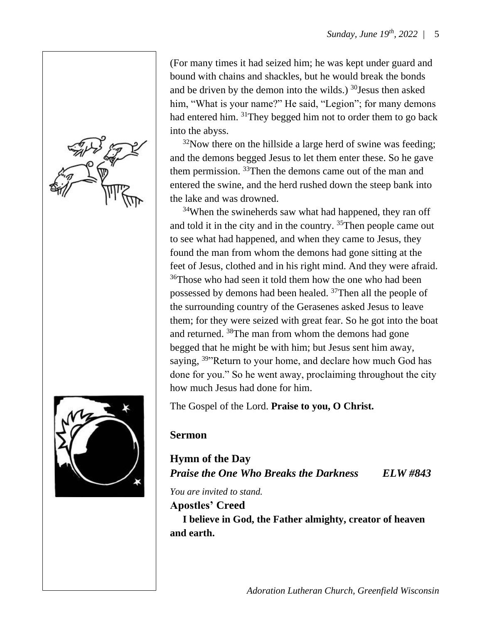

(For many times it had seized him; he was kept under guard and bound with chains and shackles, but he would break the bonds and be driven by the demon into the wilds.)  $30$  Jesus then asked him, "What is your name?" He said, "Legion"; for many demons had entered him. <sup>31</sup>They begged him not to order them to go back into the abyss.

 $32$ Now there on the hillside a large herd of swine was feeding; and the demons begged Jesus to let them enter these. So he gave them permission. <sup>33</sup>Then the demons came out of the man and entered the swine, and the herd rushed down the steep bank into the lake and was drowned.

<sup>34</sup>When the swineherds saw what had happened, they ran off and told it in the city and in the country. <sup>35</sup>Then people came out to see what had happened, and when they came to Jesus, they found the man from whom the demons had gone sitting at the feet of Jesus, clothed and in his right mind. And they were afraid. <sup>36</sup>Those who had seen it told them how the one who had been possessed by demons had been healed. <sup>37</sup>Then all the people of the surrounding country of the Gerasenes asked Jesus to leave them; for they were seized with great fear. So he got into the boat and returned. <sup>38</sup>The man from whom the demons had gone begged that he might be with him; but Jesus sent him away, saying, <sup>39</sup> Return to your home, and declare how much God has done for you." So he went away, proclaiming throughout the city how much Jesus had done for him.

The Gospel of the Lord. **Praise to you, O Christ.**

#### **Sermon**

**Hymn of the Day** *Praise the One Who Breaks the Darkness ELW #843*

*You are invited to stand.*

#### **Apostles' Creed**

 **I believe in God, the Father almighty, creator of heaven and earth.**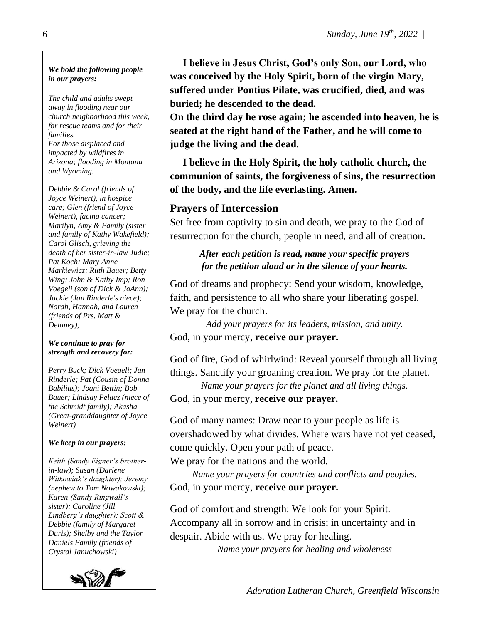#### *We hold the following people in our prayers:*

*The child and adults swept away in flooding near our church neighborhood this week, for rescue teams and for their families. For those displaced and impacted by wildfires in Arizona; flooding in Montana and Wyoming.*

*Debbie & Carol (friends of Joyce Weinert), in hospice care; Glen (friend of Joyce Weinert), facing cancer; Marilyn, Amy & Family (sister and family of Kathy Wakefield); Carol Glisch, grieving the death of her sister-in-law Judie; Pat Koch; Mary Anne Markiewicz; Ruth Bauer; Betty Wing; John & Kathy Imp; Ron Voegeli (son of Dick & JoAnn); Jackie (Jan Rinderle's niece); Norah, Hannah, and Lauren (friends of Prs. Matt & Delaney);*

#### *We continue to pray for strength and recovery for:*

*Perry Buck; Dick Voegeli; Jan Rinderle; Pat (Cousin of Donna Babilius); Joani Bettin; Bob Bauer; Lindsay Pelaez (niece of the Schmidt family); Akasha (Great-granddaughter of Joyce Weinert)*

#### *We keep in our prayers:*

*Keith (Sandy Eigner's brotherin-law); Susan (Darlene Witkowiak's daughter); Jeremy (nephew to Tom Nowakowski); Karen (Sandy Ringwall's sister); Caroline (Jill Lindberg's daughter); Scott & Debbie (family of Margaret Duris); Shelby and the Taylor Daniels Family (friends of Crystal Januchowski)*



 **I believe in Jesus Christ, God's only Son, our Lord, who was conceived by the Holy Spirit, born of the virgin Mary, suffered under Pontius Pilate, was crucified, died, and was buried; he descended to the dead.** 

**On the third day he rose again; he ascended into heaven, he is seated at the right hand of the Father, and he will come to judge the living and the dead.**

 **I believe in the Holy Spirit, the holy catholic church, the communion of saints, the forgiveness of sins, the resurrection of the body, and the life everlasting. Amen.** 

#### **Prayers of Intercession**

Set free from captivity to sin and death, we pray to the God of resurrection for the church, people in need, and all of creation.

#### *After each petition is read, name your specific prayers for the petition aloud or in the silence of your hearts.*

God of dreams and prophecy: Send your wisdom, knowledge, faith, and persistence to all who share your liberating gospel. We pray for the church.

*Add your prayers for its leaders, mission, and unity.* God, in your mercy, **receive our prayer.**

God of fire, God of whirlwind: Reveal yourself through all living things. Sanctify your groaning creation. We pray for the planet.

*Name your prayers for the planet and all living things.*

God, in your mercy, **receive our prayer.**

God of many names: Draw near to your people as life is overshadowed by what divides. Where wars have not yet ceased, come quickly. Open your path of peace.

We pray for the nations and the world.

*Name your prayers for countries and conflicts and peoples.* God, in your mercy, **receive our prayer.**

God of comfort and strength: We look for your Spirit. Accompany all in sorrow and in crisis; in uncertainty and in despair. Abide with us. We pray for healing.

*Name your prayers for healing and wholeness*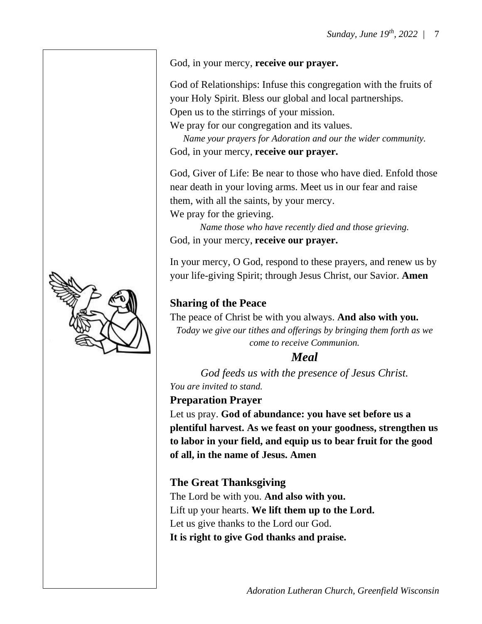

God of Relationships: Infuse this congregation with the fruits of your Holy Spirit. Bless our global and local partnerships. Open us to the stirrings of your mission.

We pray for our congregation and its values.

*Name your prayers for Adoration and our the wider community.* God, in your mercy, **receive our prayer.**

God, Giver of Life: Be near to those who have died. Enfold those near death in your loving arms. Meet us in our fear and raise them, with all the saints, by your mercy. We pray for the grieving.

*Name those who have recently died and those grieving.* God, in your mercy, **receive our prayer.**

In your mercy, O God, respond to these prayers, and renew us by your life-giving Spirit; through Jesus Christ, our Savior. **Amen**

#### **Sharing of the Peace**

The peace of Christ be with you always. **And also with you.** *Today we give our tithes and offerings by bringing them forth as we come to receive Communion.* 

#### *Meal*

*God feeds us with the presence of Jesus Christ. You are invited to stand.*

#### **Preparation Prayer**

Let us pray. **God of abundance: you have set before us a plentiful harvest. As we feast on your goodness, strengthen us to labor in your field, and equip us to bear fruit for the good of all, in the name of Jesus. Amen**

#### **The Great Thanksgiving**

The Lord be with you. **And also with you.** Lift up your hearts. **We lift them up to the Lord.** Let us give thanks to the Lord our God. **It is right to give God thanks and praise.**

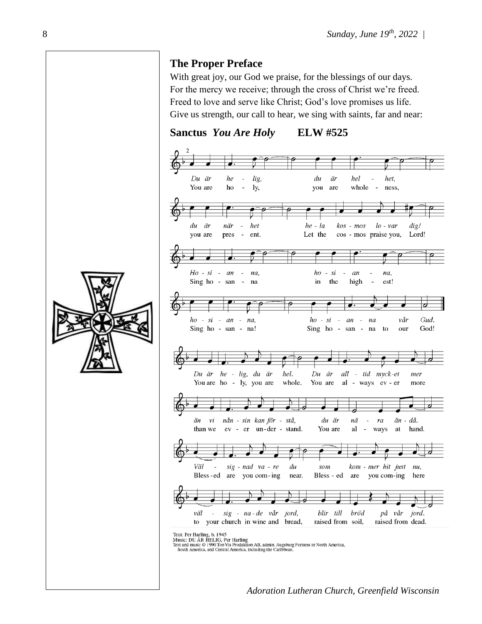#### **The Proper Preface**

With great joy, our God we praise, for the blessings of our days. For the mercy we receive; through the cross of Christ we're freed. Freed to love and serve like Christ; God's love promises us life. Give us strength, our call to hear, we sing with saints, far and near:

**Sanctus** *You Are Holy* **ELW #525**



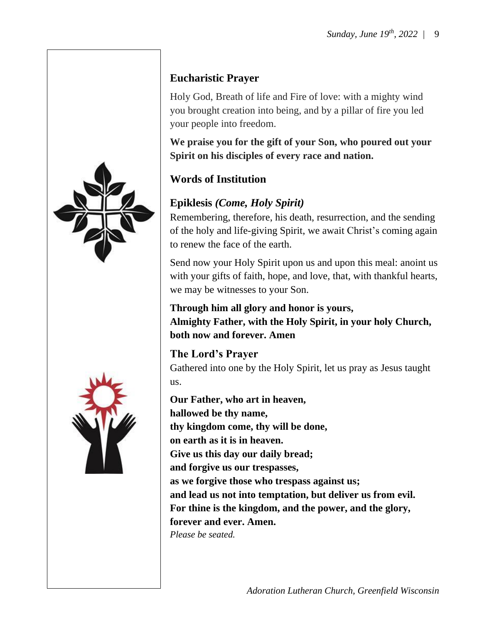



### **Eucharistic Prayer**

Holy God, Breath of life and Fire of love: with a mighty wind you brought creation into being, and by a pillar of fire you led your people into freedom.

**We praise you for the gift of your Son, who poured out your Spirit on his disciples of every race and nation.**

#### **Words of Institution**

#### **Epiklesis** *(Come, Holy Spirit)*

Remembering, therefore, his death, resurrection, and the sending of the holy and life-giving Spirit, we await Christ's coming again to renew the face of the earth.

Send now your Holy Spirit upon us and upon this meal: anoint us with your gifts of faith, hope, and love, that, with thankful hearts, we may be witnesses to your Son.

**Through him all glory and honor is yours, Almighty Father, with the Holy Spirit, in your holy Church, both now and forever. Amen**

#### **The Lord's Prayer**

Gathered into one by the Holy Spirit, let us pray as Jesus taught us.

**Our Father, who art in heaven, hallowed be thy name, thy kingdom come, thy will be done, on earth as it is in heaven. Give us this day our daily bread; and forgive us our trespasses, as we forgive those who trespass against us; and lead us not into temptation, but deliver us from evil. For thine is the kingdom, and the power, and the glory, forever and ever. Amen.** *Please be seated.*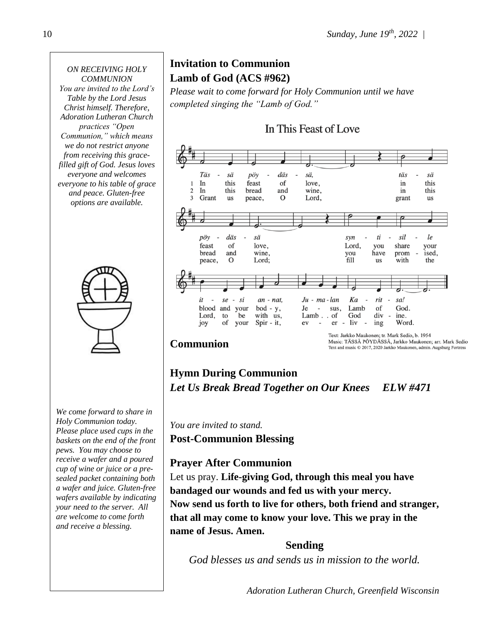#### *ON RECEIVING HOLY COMMUNION*

*You are invited to the Lord's Table by the Lord Jesus Christ himself. Therefore, Adoration Lutheran Church practices "Open Communion," which means we do not restrict anyone from receiving this gracefilled gift of God. Jesus loves everyone and welcomes everyone to his table of grace and peace. Gluten-free options are available.*



*We come forward to share in Holy Communion today. Please place used cups in the baskets on the end of the front pews. You may choose to receive a wafer and a poured cup of wine or juice or a presealed packet containing both a wafer and juice. Gluten-free wafers available by indicating your need to the server. All are welcome to come forth and receive a blessing.*

# **Invitation to Communion Lamb of God (ACS #962)**

*Please wait to come forward for Holy Communion until we have completed singing the "Lamb of God."*

#### In This Feast of Love sä. Täs sä  $p\ddot{o}$ y däs täs sä In this feast of love. this  $\mathbf{1}$ in  $\overline{2}$ In bread and wine, this this in 3 Grant us peace,  $\Omega$ Lord, grant us pöy däs sä syn  $ti$ sil le feast  $\alpha$ f love. Lord, you share your bread and wine, you have prom ised. `fill peace,  $\Omega$ Lord; **us** with the  $Ju$  -  $ma$  -  $lan$ Ka rit sa! it  $\emph{se}$  $-si$ an - nat, blood and your  $bod - y$ , God. Je  $\overline{\phantom{a}}$ sus, Lamb of Lord. to be with us, Lamb. of God div ine. Word. joy of your  $Spir - it$ , ev er liv  $\frac{\text{in}g}{\text{in}g}$

#### **Communion**

Text: Jarkko Maukonen; tr. Mark Sedio, b. 1954 Music: TÄSSÄ PÖYDÄSSÄ, Jarkko Maukonen; arr. Mark Sedio Text and music © 2017, 2020 Jarkko Maukonen, admin. Augsburg Fortress

### **Hymn During Communion** *Let Us Break Bread Together on Our Knees ELW #471*

*You are invited to stand.*

**Post-Communion Blessing**

#### **Prayer After Communion**

Let us pray. **Life-giving God, through this meal you have bandaged our wounds and fed us with your mercy. Now send us forth to live for others, both friend and stranger, that all may come to know your love. This we pray in the name of Jesus. Amen.**

#### **Sending**

*God blesses us and sends us in mission to the world.*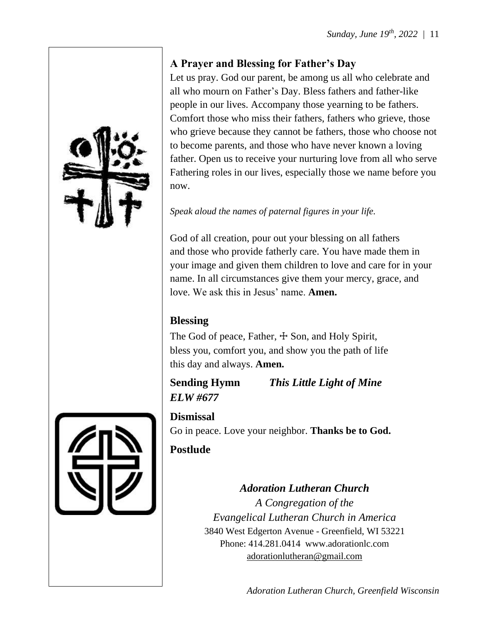#### **A Prayer and Blessing for Father's Day**

Let us pray. God our parent, be among us all who celebrate and all who mourn on Father's Day. Bless fathers and father-like people in our lives. Accompany those yearning to be fathers. Comfort those who miss their fathers, fathers who grieve, those who grieve because they cannot be fathers, those who choose not to become parents, and those who have never known a loving father. Open us to receive your nurturing love from all who serve Fathering roles in our lives, especially those we name before you now.

#### *Speak aloud the names of paternal figures in your life.*

God of all creation, pour out your blessing on all fathers and those who provide fatherly care. You have made them in your image and given them children to love and care for in your name. In all circumstances give them your mercy, grace, and love. We ask this in Jesus' name. **Amen.**

#### **Blessing**

The God of peace, Father,  $\pm$  Son, and Holy Spirit, bless you, comfort you, and show you the path of life this day and always. **Amen.**

# *ELW #677*

**Sending Hymn** *This Little Light of Mine*

**Dismissal** Go in peace. Love your neighbor. **Thanks be to God.**

# **Postlude**

*Adoration Lutheran Church A Congregation of the Evangelical Lutheran Church in America* 3840 West Edgerton Avenue - Greenfield, WI 53221 Phone: 414.281.0414 www.adorationlc.com [adorationlutheran@gmail.com](about:blank)